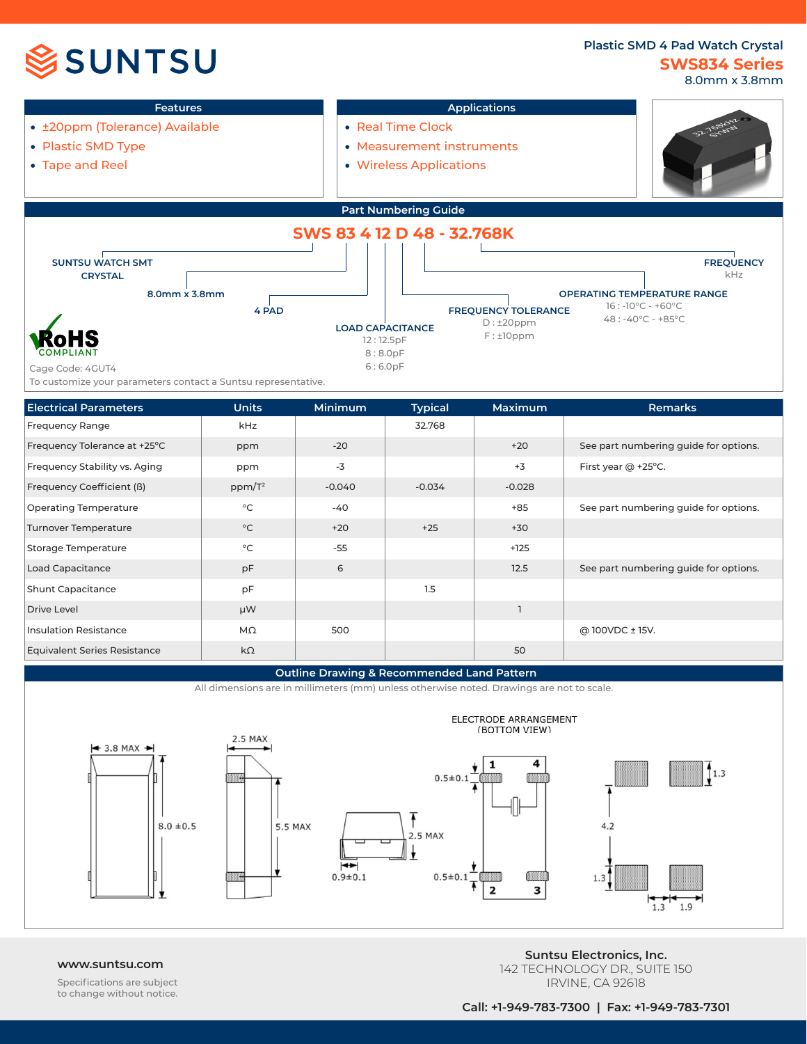# **SSUNTSU**

### **SWS834 Series Plastic SMD 4 Pad Watch Crystal** 8.0mm x 3.8mm



## **Outline Drawing & Recommended Land Pattern**

500

MΩ kΩ





Insulation Resistance Equivalent Series Resistance

> Specifications are subject to change without notice.

**www.suntsu.com Suntsu Electronics, Inc.** 142 TECHNOLOGY DR., SUITE 150 IRVINE, CA 92618

@ 100VDC ± 15V.

50

**Call: +1-949-783-7300 | Fax: +1-949-783-7301**